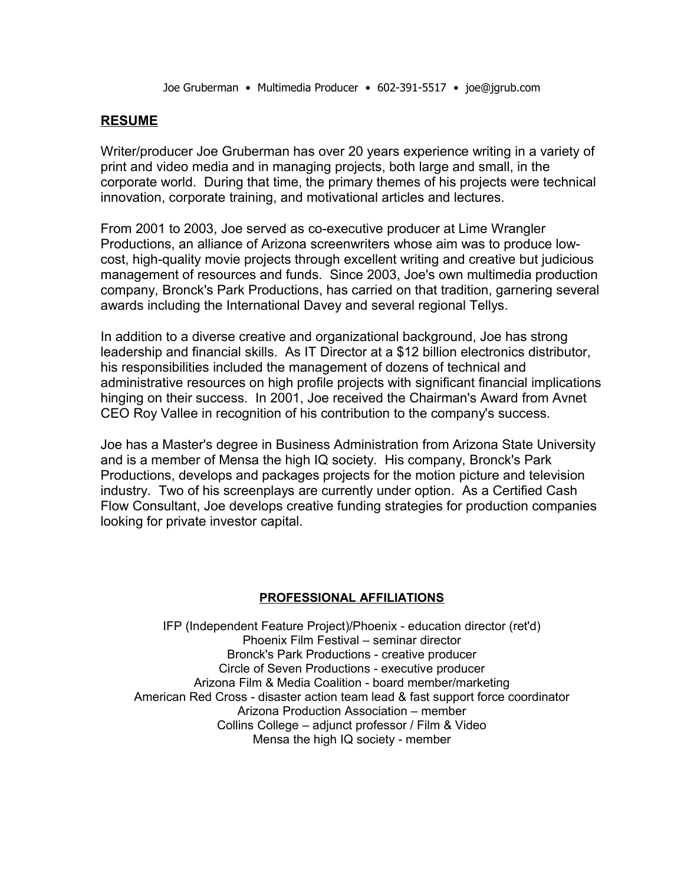#### **RESUME**

Writer/producer Joe Gruberman has over 20 years experience writing in a variety of print and video media and in managing projects, both large and small, in the corporate world. During that time, the primary themes of his projects were technical innovation, corporate training, and motivational articles and lectures.

From 2001 to 2003, Joe served as co-executive producer at Lime Wrangler Productions, an alliance of Arizona screenwriters whose aim was to produce lowcost, high-quality movie projects through excellent writing and creative but judicious management of resources and funds. Since 2003, Joe's own multimedia production company, Bronck's Park Productions, has carried on that tradition, garnering several awards including the International Davey and several regional Tellys.

In addition to a diverse creative and organizational background, Joe has strong leadership and financial skills. As IT Director at a \$12 billion electronics distributor, his responsibilities included the management of dozens of technical and administrative resources on high profile projects with significant financial implications hinging on their success. In 2001, Joe received the Chairman's Award from Avnet CEO Roy Vallee in recognition of his contribution to the company's success.

Joe has a Master's degree in Business Administration from Arizona State University and is a member of Mensa the high IQ society. His company, Bronck's Park Productions, develops and packages projects for the motion picture and television industry. Two of his screenplays are currently under option. As a Certified Cash Flow Consultant, Joe develops creative funding strategies for production companies looking for private investor capital.

#### **PROFESSIONAL AFFILIATIONS**

IFP (Independent Feature Project)/Phoenix - education director (ret'd) Phoenix Film Festival – seminar director Bronck's Park Productions - creative producer Circle of Seven Productions - executive producer Arizona Film & Media Coalition - board member/marketing American Red Cross - disaster action team lead & fast support force coordinator Arizona Production Association – member Collins College – adjunct professor / Film & Video Mensa the high IQ society - member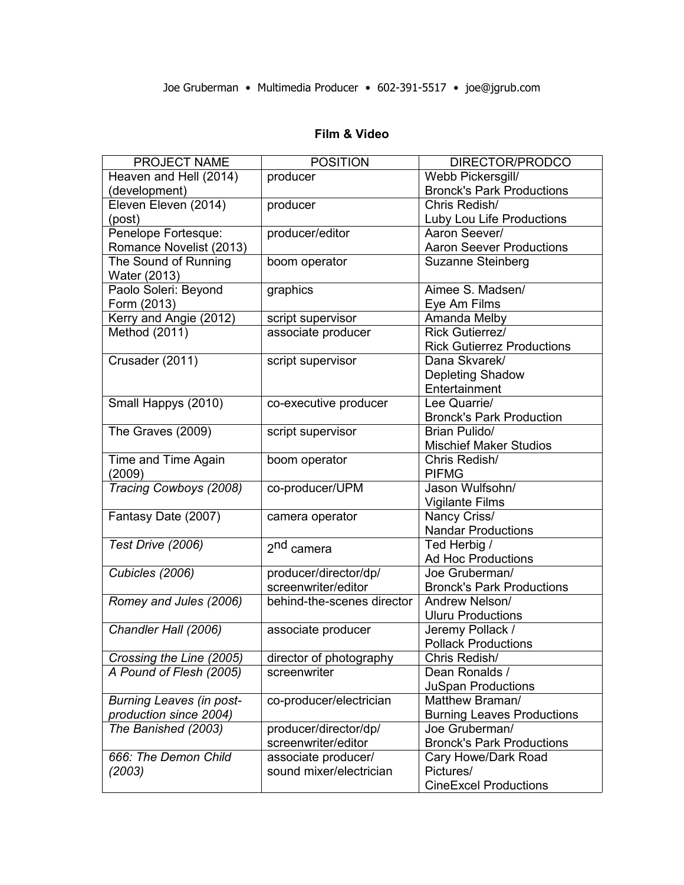### **Film & Video**

| <b>PROJECT NAME</b>             | <b>POSITION</b>            | DIRECTOR/PRODCO                   |
|---------------------------------|----------------------------|-----------------------------------|
| Heaven and Hell (2014)          | producer                   | Webb Pickersgill/                 |
| (development)                   |                            | <b>Bronck's Park Productions</b>  |
| Eleven Eleven (2014)            | producer                   | Chris Redish/                     |
| (post)                          |                            | Luby Lou Life Productions         |
| Penelope Fortesque:             | producer/editor            | Aaron Seever/                     |
| Romance Novelist (2013)         |                            | <b>Aaron Seever Productions</b>   |
| The Sound of Running            | boom operator              | Suzanne Steinberg                 |
| Water (2013)                    |                            |                                   |
| Paolo Soleri: Beyond            | graphics                   | Aimee S. Madsen/                  |
| Form (2013)                     |                            | Eye Am Films                      |
| Kerry and Angie (2012)          | script supervisor          | Amanda Melby                      |
| Method (2011)                   | associate producer         | Rick Gutierrez/                   |
|                                 |                            | <b>Rick Gutierrez Productions</b> |
| Crusader (2011)                 | script supervisor          | Dana Skvarek/                     |
|                                 |                            | <b>Depleting Shadow</b>           |
|                                 |                            | Entertainment                     |
| Small Happys (2010)             | co-executive producer      | Lee Quarrie/                      |
|                                 |                            | <b>Bronck's Park Production</b>   |
| The Graves (2009)               | script supervisor          | Brian Pulido/                     |
|                                 |                            | <b>Mischief Maker Studios</b>     |
| Time and Time Again             | boom operator              | Chris Redish/                     |
| (2009)                          |                            | <b>PIFMG</b>                      |
| Tracing Cowboys (2008)          | co-producer/UPM            | Jason Wulfsohn/                   |
|                                 |                            | <b>Vigilante Films</b>            |
| Fantasy Date (2007)             | camera operator            | Nancy Criss/                      |
|                                 |                            | <b>Nandar Productions</b>         |
| Test Drive (2006)               | 2 <sup>nd</sup> camera     | Ted Herbig /                      |
|                                 |                            | <b>Ad Hoc Productions</b>         |
| Cubicles (2006)                 | producer/director/dp/      | Joe Gruberman/                    |
|                                 | screenwriter/editor        | <b>Bronck's Park Productions</b>  |
| Romey and Jules (2006)          | behind-the-scenes director | Andrew Nelson/                    |
|                                 |                            | <b>Uluru Productions</b>          |
| Chandler Hall (2006)            | associate producer         | Jeremy Pollack /                  |
|                                 |                            | <b>Pollack Productions</b>        |
| Crossing the Line (2005)        | director of photography    | Chris Redish/                     |
| A Pound of Flesh (2005)         | screenwriter               | Dean Ronalds /                    |
|                                 |                            | <b>JuSpan Productions</b>         |
| <b>Burning Leaves (in post-</b> | co-producer/electrician    | Matthew Braman/                   |
| production since 2004)          |                            | <b>Burning Leaves Productions</b> |
| The Banished (2003)             | producer/director/dp/      | Joe Gruberman/                    |
|                                 | screenwriter/editor        | <b>Bronck's Park Productions</b>  |
| 666: The Demon Child            | associate producer/        | Cary Howe/Dark Road               |
| (2003)                          | sound mixer/electrician    | Pictures/                         |
|                                 |                            | <b>CineExcel Productions</b>      |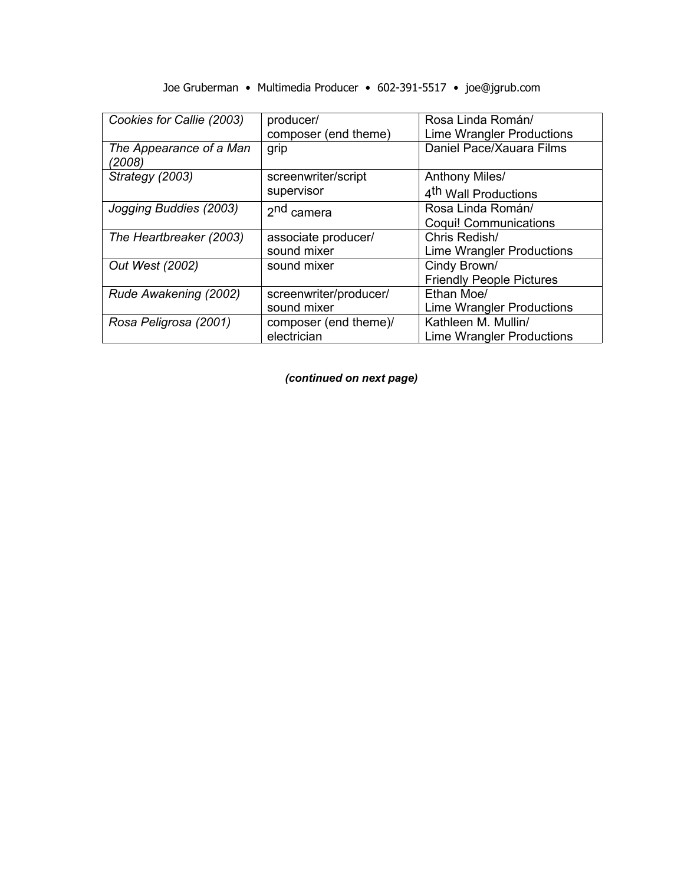| Cookies for Callie (2003) | producer/<br>composer (end theme) | Rosa Linda Román/<br><b>Lime Wrangler Productions</b> |
|---------------------------|-----------------------------------|-------------------------------------------------------|
| The Appearance of a Man   | grip                              | Daniel Pace/Xauara Films                              |
| (2008)                    |                                   |                                                       |
| Strategy (2003)           | screenwriter/script               | <b>Anthony Miles/</b>                                 |
|                           | supervisor                        | 4 <sup>th</sup> Wall Productions                      |
| Jogging Buddies (2003)    | 2 <sup>nd</sup> camera            | Rosa Linda Román/                                     |
|                           |                                   | <b>Coqui! Communications</b>                          |
| The Heartbreaker (2003)   | associate producer/               | Chris Redish/                                         |
|                           | sound mixer                       | Lime Wrangler Productions                             |
| Out West (2002)           | sound mixer                       | Cindy Brown/                                          |
|                           |                                   | <b>Friendly People Pictures</b>                       |
| Rude Awakening (2002)     | screenwriter/producer/            | Ethan Moe/                                            |
|                           | sound mixer                       | Lime Wrangler Productions                             |
| Rosa Peligrosa (2001)     | composer (end theme)/             | Kathleen M. Mullin/                                   |
|                           | electrician                       | <b>Lime Wrangler Productions</b>                      |

*(continued on next page)*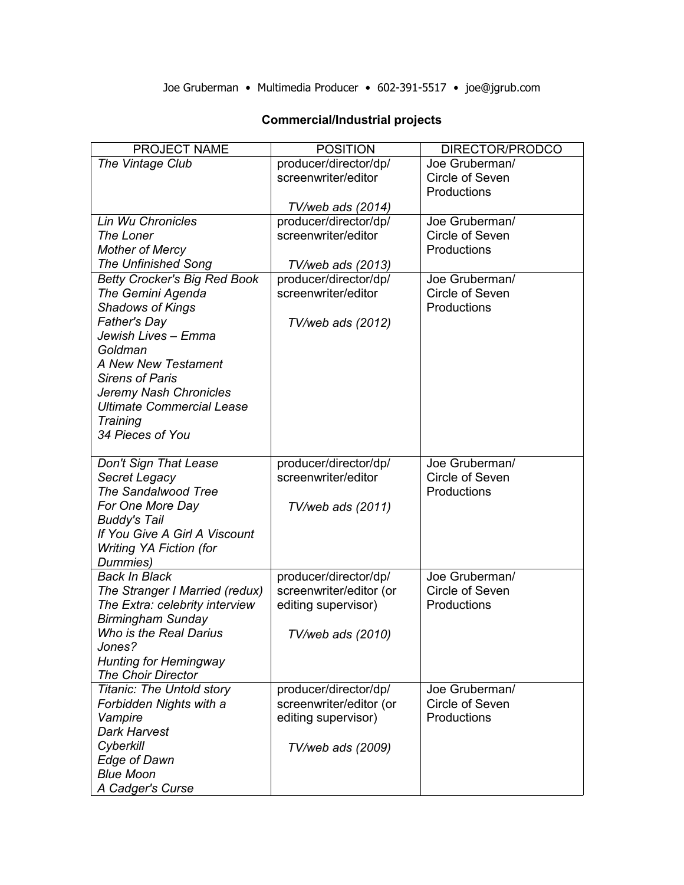# **Commercial/Industrial projects**

| <b>PROJECT NAME</b>                 | <b>POSITION</b>         | DIRECTOR/PRODCO |
|-------------------------------------|-------------------------|-----------------|
| The Vintage Club                    | producer/director/dp/   | Joe Gruberman/  |
|                                     | screenwriter/editor     | Circle of Seven |
|                                     |                         | Productions     |
|                                     | TV/web ads (2014)       |                 |
| <b>Lin Wu Chronicles</b>            | producer/director/dp/   | Joe Gruberman/  |
| The Loner                           | screenwriter/editor     | Circle of Seven |
| <b>Mother of Mercy</b>              |                         | Productions     |
| <b>The Unfinished Song</b>          | TV/web ads (2013)       |                 |
| <b>Betty Crocker's Big Red Book</b> | producer/director/dp/   | Joe Gruberman/  |
| The Gemini Agenda                   | screenwriter/editor     | Circle of Seven |
| <b>Shadows of Kings</b>             |                         | Productions     |
| <b>Father's Day</b>                 | TV/web ads (2012)       |                 |
| Jewish Lives - Emma                 |                         |                 |
| Goldman                             |                         |                 |
| A New New Testament                 |                         |                 |
| <b>Sirens of Paris</b>              |                         |                 |
| Jeremy Nash Chronicles              |                         |                 |
| <b>Ultimate Commercial Lease</b>    |                         |                 |
| <b>Training</b>                     |                         |                 |
| 34 Pieces of You                    |                         |                 |
|                                     |                         |                 |
| Don't Sign That Lease               | producer/director/dp/   | Joe Gruberman/  |
| Secret Legacy                       | screenwriter/editor     | Circle of Seven |
| The Sandalwood Tree                 |                         | Productions     |
| For One More Day                    | TV/web ads (2011)       |                 |
| <b>Buddy's Tail</b>                 |                         |                 |
| If You Give A Girl A Viscount       |                         |                 |
| <b>Writing YA Fiction (for</b>      |                         |                 |
| Dummies)                            |                         |                 |
| <b>Back In Black</b>                | producer/director/dp/   | Joe Gruberman/  |
| The Stranger I Married (redux)      | screenwriter/editor (or | Circle of Seven |
| The Extra: celebrity interview      | editing supervisor)     | Productions     |
| <b>Birmingham Sunday</b>            |                         |                 |
| Who is the Real Darius              | TV/web ads (2010)       |                 |
| Jones?                              |                         |                 |
| <b>Hunting for Hemingway</b>        |                         |                 |
| <b>The Choir Director</b>           |                         |                 |
| <b>Titanic: The Untold story</b>    | producer/director/dp/   | Joe Gruberman/  |
| Forbidden Nights with a             | screenwriter/editor (or | Circle of Seven |
| Vampire                             | editing supervisor)     | Productions     |
| <b>Dark Harvest</b>                 |                         |                 |
| Cyberkill                           | TV/web ads (2009)       |                 |
| <b>Edge of Dawn</b>                 |                         |                 |
| <b>Blue Moon</b>                    |                         |                 |
| A Cadger's Curse                    |                         |                 |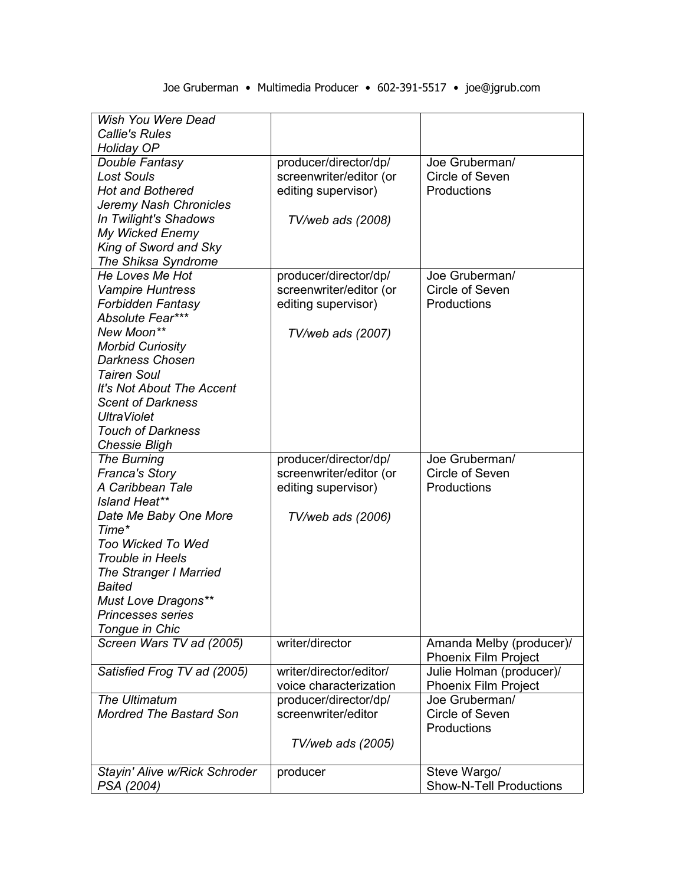| Wish You Were Dead<br><b>Callie's Rules</b> |                         |                          |
|---------------------------------------------|-------------------------|--------------------------|
| <b>Holiday OP</b>                           |                         |                          |
| Double Fantasy                              | producer/director/dp/   | Joe Gruberman/           |
| <b>Lost Souls</b>                           | screenwriter/editor (or | Circle of Seven          |
| <b>Hot and Bothered</b>                     | editing supervisor)     | Productions              |
| Jeremy Nash Chronicles                      |                         |                          |
| In Twilight's Shadows                       | TV/web ads (2008)       |                          |
| My Wicked Enemy                             |                         |                          |
| King of Sword and Sky                       |                         |                          |
| The Shiksa Syndrome                         |                         |                          |
| He Loves Me Hot                             | producer/director/dp/   | Joe Gruberman/           |
| <b>Vampire Huntress</b>                     | screenwriter/editor (or | Circle of Seven          |
| <b>Forbidden Fantasy</b>                    | editing supervisor)     | Productions              |
| Absolute Fear***                            |                         |                          |
| New Moon**                                  | TV/web ads (2007)       |                          |
| <b>Morbid Curiosity</b>                     |                         |                          |
| <b>Darkness Chosen</b>                      |                         |                          |
| <b>Tairen Soul</b>                          |                         |                          |
| It's Not About The Accent                   |                         |                          |
| <b>Scent of Darkness</b>                    |                         |                          |
| <b>UltraViolet</b>                          |                         |                          |
| <b>Touch of Darkness</b>                    |                         |                          |
| <b>Chessie Bligh</b>                        |                         |                          |
| The Burning                                 | producer/director/dp/   | Joe Gruberman/           |
| <b>Franca's Story</b>                       | screenwriter/editor (or | Circle of Seven          |
| A Caribbean Tale                            | editing supervisor)     | Productions              |
| Island Heat**                               |                         |                          |
| Date Me Baby One More                       | TV/web ads (2006)       |                          |
| Time*                                       |                         |                          |
| <b>Too Wicked To Wed</b>                    |                         |                          |
|                                             |                         |                          |
| Trouble in Heels                            |                         |                          |
| <b>The Stranger I Married</b>               |                         |                          |
| <b>Baited</b>                               |                         |                          |
| Must Love Dragons**                         |                         |                          |
| <b>Princesses series</b>                    |                         |                          |
| Tongue in Chic                              |                         |                          |
| Screen Wars TV ad (2005)                    | writer/director         | Amanda Melby (producer)/ |
|                                             |                         | Phoenix Film Project     |
| Satisfied Frog TV ad (2005)                 | writer/director/editor/ | Julie Holman (producer)/ |
|                                             | voice characterization  | Phoenix Film Project     |
| The Ultimatum                               | producer/director/dp/   | Joe Gruberman/           |
| <b>Mordred The Bastard Son</b>              | screenwriter/editor     | Circle of Seven          |
|                                             |                         | Productions              |
|                                             | TV/web ads (2005)       |                          |
|                                             |                         |                          |
| Stayin' Alive w/Rick Schroder               | producer                | Steve Wargo/             |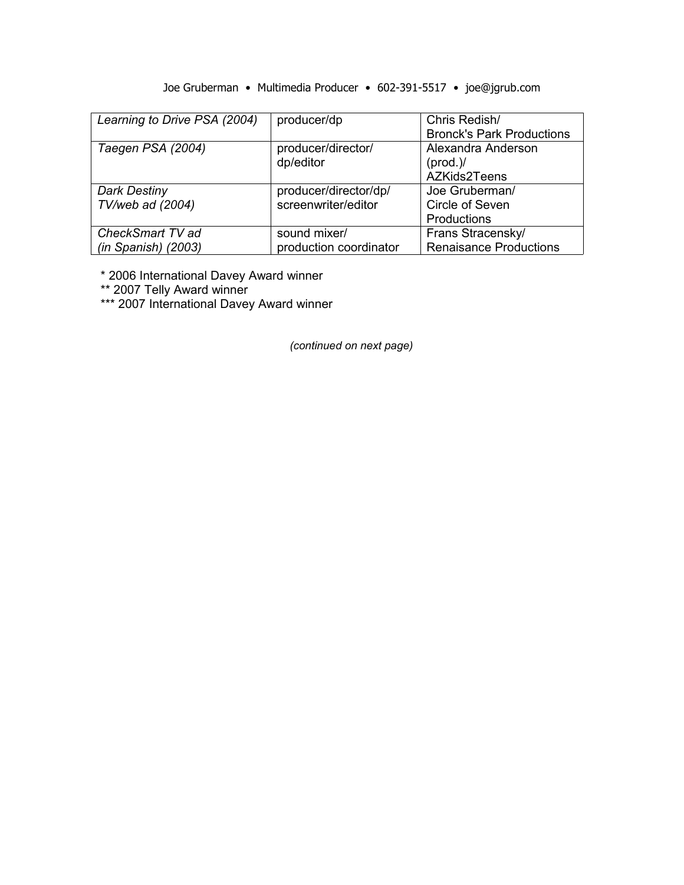| Learning to Drive PSA (2004) | producer/dp            | Chris Redish/                    |
|------------------------------|------------------------|----------------------------------|
|                              |                        | <b>Bronck's Park Productions</b> |
| Taegen PSA (2004)            | producer/director/     | Alexandra Anderson               |
|                              | dp/editor              | prod.                            |
|                              |                        | AZKids2Teens                     |
| <b>Dark Destiny</b>          | producer/director/dp/  | Joe Gruberman/                   |
| TV/web ad (2004)             | screenwriter/editor    | Circle of Seven                  |
|                              |                        | Productions                      |
| CheckSmart TV ad             | sound mixer/           | Frans Stracensky/                |
| $(in$ Spanish $)$ (2003)     | production coordinator | <b>Renaisance Productions</b>    |

\* 2006 International Davey Award winner

\*\* 2007 Telly Award winner

\*\*\* 2007 International Davey Award winner

*(continued on next page)*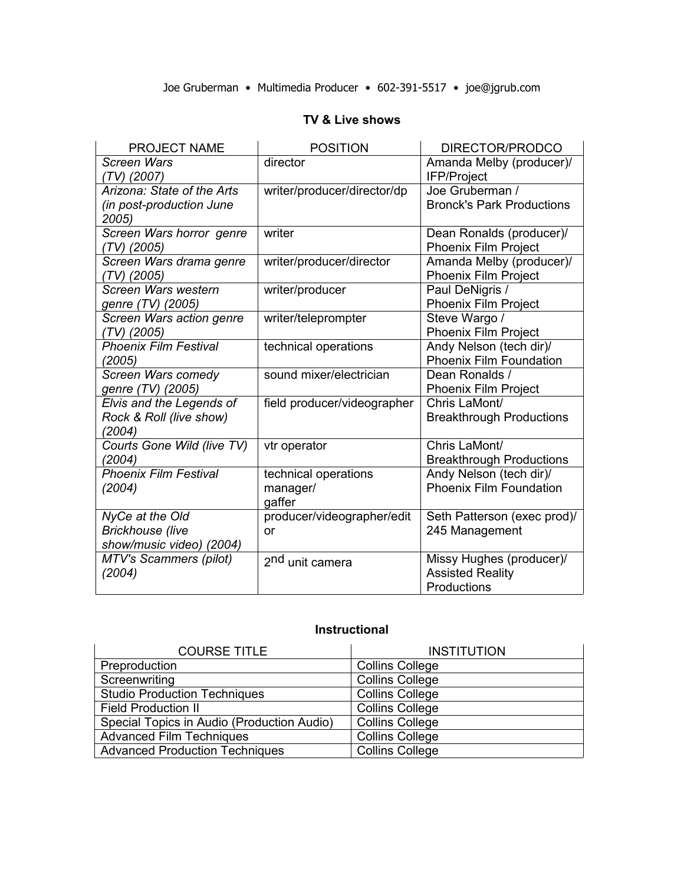# **TV & Live shows**

| PROJECT NAME                                           | <b>POSITION</b>             | DIRECTOR/PRODCO                                                    |
|--------------------------------------------------------|-----------------------------|--------------------------------------------------------------------|
| Screen Wars<br>(TV) (2007)                             | director                    | Amanda Melby (producer)/<br><b>IFP/Project</b>                     |
| Arizona: State of the Arts<br>(in post-production June | writer/producer/director/dp | Joe Gruberman /<br><b>Bronck's Park Productions</b>                |
| 2005)                                                  |                             |                                                                    |
| Screen Wars horror genre<br>(TV) (2005)                | writer                      | Dean Ronalds (producer)/<br>Phoenix Film Project                   |
| Screen Wars drama genre<br>(TV) (2005)                 | writer/producer/director    | Amanda Melby (producer)/<br>Phoenix Film Project                   |
| Screen Wars western                                    | writer/producer             | Paul DeNigris /                                                    |
| genre (TV) (2005)                                      |                             | Phoenix Film Project                                               |
| Screen Wars action genre                               | writer/teleprompter         | Steve Wargo /                                                      |
| (TV) (2005)                                            |                             | Phoenix Film Project                                               |
| <b>Phoenix Film Festival</b>                           | technical operations        | Andy Nelson (tech dir)/                                            |
| (2005)                                                 |                             | <b>Phoenix Film Foundation</b>                                     |
| Screen Wars comedy                                     | sound mixer/electrician     | Dean Ronalds /                                                     |
| genre (TV) (2005)                                      |                             | Phoenix Film Project                                               |
| Elvis and the Legends of                               | field producer/videographer | Chris LaMont/                                                      |
| Rock & Roll (live show)<br>(2004)                      |                             | <b>Breakthrough Productions</b>                                    |
| Courts Gone Wild (live TV)                             | vtr operator                | Chris LaMont/                                                      |
| (2004)                                                 |                             | <b>Breakthrough Productions</b>                                    |
| <b>Phoenix Film Festival</b>                           | technical operations        | Andy Nelson (tech dir)/                                            |
| (2004)                                                 | manager/<br>gaffer          | Phoenix Film Foundation                                            |
| NyCe at the Old                                        | producer/videographer/edit  | Seth Patterson (exec prod)/                                        |
| <b>Brickhouse</b> (live                                | or                          | 245 Management                                                     |
| show/music video) (2004)                               |                             |                                                                    |
| <b>MTV's Scammers (pilot)</b><br>(2004)                | 2 <sup>nd</sup> unit camera | Missy Hughes (producer)/<br><b>Assisted Reality</b><br>Productions |

# **Instructional**

| <b>COURSE TITLE</b>                        | <b>INSTITUTION</b>     |
|--------------------------------------------|------------------------|
| Preproduction                              | <b>Collins College</b> |
| Screenwriting                              | <b>Collins College</b> |
| <b>Studio Production Techniques</b>        | <b>Collins College</b> |
| <b>Field Production II</b>                 | <b>Collins College</b> |
| Special Topics in Audio (Production Audio) | <b>Collins College</b> |
| <b>Advanced Film Techniques</b>            | <b>Collins College</b> |
| <b>Advanced Production Techniques</b>      | <b>Collins College</b> |